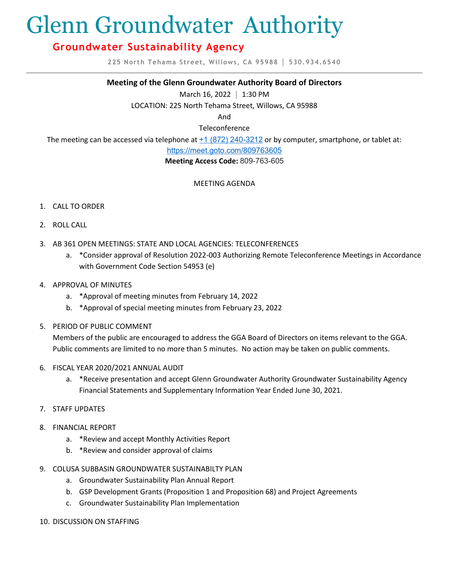# Glenn Groundwater Authority

# **Groundwater Sustainability Agency**

**225 North Tehama Street, Willows, CA 95988 │ 530.934.6540**

### **Meeting of the Glenn Groundwater Authority Board of Directors**

March 16, 2022 **│** 1:30 PM

LOCATION: 225 North Tehama Street, Willows, CA 95988

And

Teleconference

The meeting can be accessed via telephone at  $+1$  (872) 240-3212 or by computer, smartphone, or tablet at:

<https://meet.goto.com/809763605>

**Meeting Access Code:** 809-763-605

## MEETING AGENDA

- 1. CALL TO ORDER
- 2. ROLL CALL
- 3. AB 361 OPEN MEETINGS: STATE AND LOCAL AGENCIES: TELECONFERENCES
	- a. \*Consider approval of Resolution 2022-003 Authorizing Remote Teleconference Meetings in Accordance with Government Code Section 54953 (e)
- 4. APPROVAL OF MINUTES
	- a. \*Approval of meeting minutes from February 14, 2022
	- b. \*Approval of special meeting minutes from February 23, 2022
- 5. PERIOD OF PUBLIC COMMENT

Members of the public are encouraged to address the GGA Board of Directors on items relevant to the GGA. Public comments are limited to no more than 5 minutes. No action may be taken on public comments.

- 6. FISCAL YEAR 2020/2021 ANNUAL AUDIT
	- a. \*Receive presentation and accept Glenn Groundwater Authority Groundwater Sustainability Agency Financial Statements and Supplementary Information Year Ended June 30, 2021.
- 7. STAFF UPDATES
- 8. FINANCIAL REPORT
	- a. \*Review and accept Monthly Activities Report
	- b. \*Review and consider approval of claims
- 9. COLUSA SUBBASIN GROUNDWATER SUSTAINABILTY PLAN
	- a. Groundwater Sustainability Plan Annual Report
	- b. GSP Development Grants (Proposition 1 and Proposition 68) and Project Agreements
	- c. Groundwater Sustainability Plan Implementation
- 10. DISCUSSION ON STAFFING